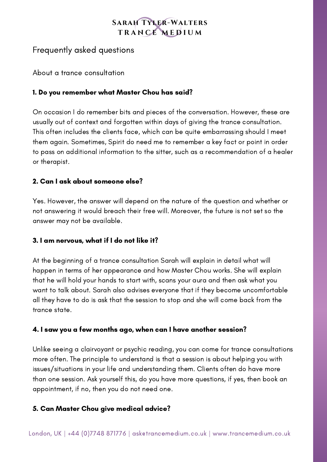# **SARAH TYLER-WALTERS** TRANCE MEDIUM

# Frequently asked questions

About a trance consultation

## 1. Do you remember what Master Chou has said?

On occasion I do remember bits and pieces of the conversation. However, these are usually out of context and forgotten within days of giving the trance consultation. This often includes the clients face, which can be quite embarrassing should I meet them again. Sometimes, Spirit do need me to remember a key fact or point in order to pass on additional information to the sitter, such as a recommendation of a healer or therapist.

## 2. Can I ask about someone else?

Yes. However, the answer will depend on the nature of the question and whether or not answering it would breach their free will. Moreover, the future is not set so the answer may not be available.

### 3. I am nervous, what if I do not like it?

At the beginning of a trance consultation Sarah will explain in detail what will happen in terms of her appearance and how Master Chou works. She will explain that he will hold your hands to start with, scans your aura and then ask what you want to talk about. Sarah also advises everyone that if they become uncomfortable all they have to do is ask that the session to stop and she will come back from the trance state.

### 4. I saw you a few months ago, when can I have another session?

Unlike seeing a clairvoyant or psychic reading, you can come for trance consultations more often. The principle to understand is that a session is about helping you with issues/situations in your life and understanding them. Clients often do have more than one session. Ask yourself this, do you have more questions, if yes, then book an appointment, if no, then you do not need one.

### 5. Can Master Chou give medical advice?